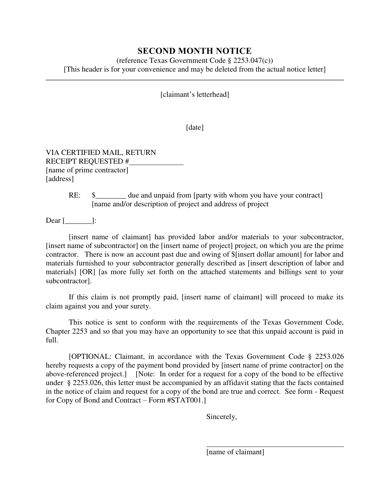## **SECOND MONTH NOTICE**

(reference Texas Government Code § 2253.047(c)) [This header is for your convenience and may be deleted from the actual notice letter]

[claimant's letterhead]

[date]

VIA CERTIFIED MAIL, RETURN RECEIPT REQUESTED # [name of prime contractor] [address]

> RE:  $\quad \quad \text{S}$  \_\_\_\_\_\_\_\_\_ due and unpaid from [party with whom you have your contract] [name and/or description of project and address of project

Dear [\_\_\_\_\_\_\_]:

[insert name of claimant] has provided labor and/or materials to your subcontractor, [insert name of subcontractor] on the [insert name of project] project, on which you are the prime contractor. There is now an account past due and owing of \$[insert dollar amount] for labor and materials furnished to your subcontractor generally described as [insert description of labor and materials] [OR] [as more fully set forth on the attached statements and billings sent to your subcontractor].

If this claim is not promptly paid, [insert name of claimant] will proceed to make its claim against you and your surety.

This notice is sent to conform with the requirements of the Texas Government Code, Chapter 2253 and so that you may have an opportunity to see that this unpaid account is paid in full.

[OPTIONAL: Claimant, in accordance with the Texas Government Code § 2253.026 hereby requests a copy of the payment bond provided by [insert name of prime contractor] on the above-referenced project.] [Note: In order for a request for a copy of the bond to be effective under § 2253.026, this letter must be accompanied by an affidavit stating that the facts contained in the notice of claim and request for a copy of the bond are true and correct. See form - Request for Copy of Bond and Contract – Form #STAT001.]

Sincerely,

[name of claimant]